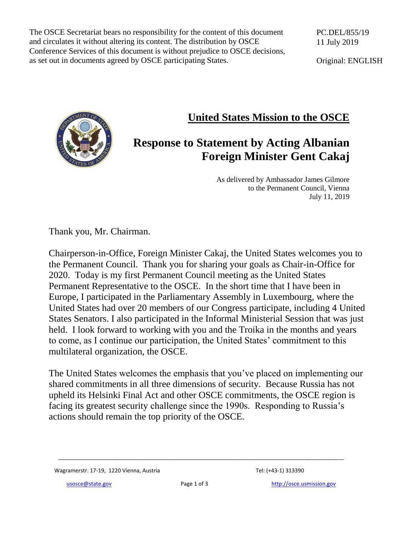The OSCE Secretariat bears no responsibility for the content of this document and circulates it without altering its content. The distribution by OSCE Conference Services of this document is without prejudice to OSCE decisions, as set out in documents agreed by OSCE participating States.

PC.DEL/855/19 11 July 2019

Original: ENGLISH

## **United States Mission to the OSCE**

## **Response to Statement by Acting Albanian Foreign Minister Gent Cakaj**

As delivered by Ambassador James Gilmore to the Permanent Council, Vienna July 11, 2019

Thank you, Mr. Chairman.

Chairperson-in-Office, Foreign Minister Cakaj, the United States welcomes you to the Permanent Council. Thank you for sharing your goals as Chair-in-Office for 2020. Today is my first Permanent Council meeting as the United States Permanent Representative to the OSCE. In the short time that I have been in Europe, I participated in the Parliamentary Assembly in Luxembourg, where the United States had over 20 members of our Congress participate, including 4 United States Senators. I also participated in the Informal Ministerial Session that was just held. I look forward to working with you and the Troika in the months and years to come, as I continue our participation, the United States' commitment to this multilateral organization, the OSCE.

The United States welcomes the emphasis that you've placed on implementing our shared commitments in all three dimensions of security. Because Russia has not upheld its Helsinki Final Act and other OSCE commitments, the OSCE region is facing its greatest security challenge since the 1990s. Responding to Russia's actions should remain the top priority of the OSCE.

Wagramerstr. 17-19, 1220 Vienna, Austria Tel: (+43-1) 313390

\_\_\_\_\_\_\_\_\_\_\_\_\_\_\_\_\_\_\_\_\_\_\_\_\_\_\_\_\_\_\_\_\_\_\_\_\_\_\_\_\_\_\_\_\_\_\_\_\_\_\_\_\_\_\_\_\_\_\_\_\_\_\_\_\_\_\_\_\_\_\_\_\_\_\_\_\_\_\_\_\_\_\_\_\_\_\_\_\_\_\_\_\_\_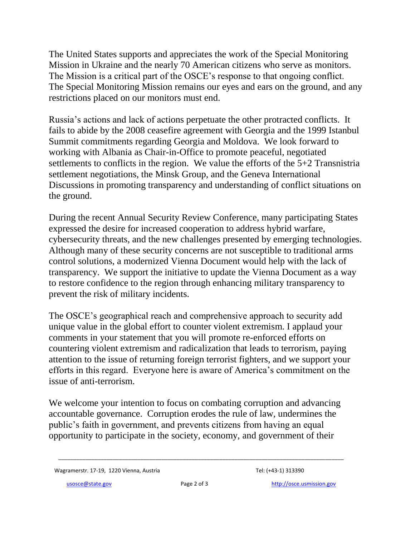The United States supports and appreciates the work of the Special Monitoring Mission in Ukraine and the nearly 70 American citizens who serve as monitors. The Mission is a critical part of the OSCE's response to that ongoing conflict. The Special Monitoring Mission remains our eyes and ears on the ground, and any restrictions placed on our monitors must end.

Russia's actions and lack of actions perpetuate the other protracted conflicts. It fails to abide by the 2008 ceasefire agreement with Georgia and the 1999 Istanbul Summit commitments regarding Georgia and Moldova. We look forward to working with Albania as Chair-in-Office to promote peaceful, negotiated settlements to conflicts in the region. We value the efforts of the 5+2 Transnistria settlement negotiations, the Minsk Group, and the Geneva International Discussions in promoting transparency and understanding of conflict situations on the ground.

During the recent Annual Security Review Conference, many participating States expressed the desire for increased cooperation to address hybrid warfare, cybersecurity threats, and the new challenges presented by emerging technologies. Although many of these security concerns are not susceptible to traditional arms control solutions, a modernized Vienna Document would help with the lack of transparency. We support the initiative to update the Vienna Document as a way to restore confidence to the region through enhancing military transparency to prevent the risk of military incidents.

The OSCE's geographical reach and comprehensive approach to security add unique value in the global effort to counter violent extremism. I applaud your comments in your statement that you will promote re-enforced efforts on countering violent extremism and radicalization that leads to terrorism, paying attention to the issue of returning foreign terrorist fighters, and we support your efforts in this regard. Everyone here is aware of America's commitment on the issue of anti-terrorism.

We welcome your intention to focus on combating corruption and advancing accountable governance. Corruption erodes the rule of law, undermines the public's faith in government, and prevents citizens from having an equal opportunity to participate in the society, economy, and government of their

\_\_\_\_\_\_\_\_\_\_\_\_\_\_\_\_\_\_\_\_\_\_\_\_\_\_\_\_\_\_\_\_\_\_\_\_\_\_\_\_\_\_\_\_\_\_\_\_\_\_\_\_\_\_\_\_\_\_\_\_\_\_\_\_\_\_\_\_\_\_\_\_\_\_\_\_\_\_\_\_\_\_\_\_\_\_\_\_\_\_\_\_\_\_